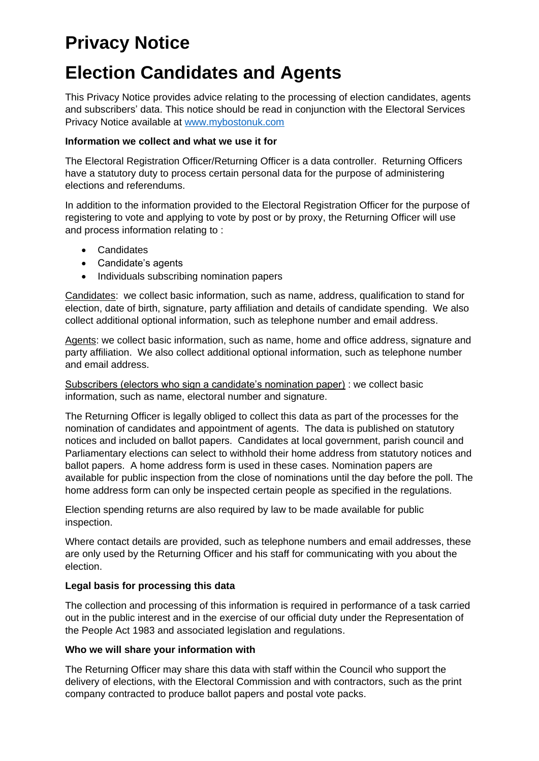# **Privacy Notice**

## **Election Candidates and Agents**

This Privacy Notice provides advice relating to the processing of election candidates, agents and subscribers' data. This notice should be read in conjunction with the Electoral Services Privacy Notice available at [www.mybostonuk.com](http://www.mybostonuk.com/)

#### **Information we collect and what we use it for**

The Electoral Registration Officer/Returning Officer is a data controller. Returning Officers have a statutory duty to process certain personal data for the purpose of administering elections and referendums.

In addition to the information provided to the Electoral Registration Officer for the purpose of registering to vote and applying to vote by post or by proxy, the Returning Officer will use and process information relating to :

- Candidates
- Candidate's agents
- Individuals subscribing nomination papers

Candidates: we collect basic information, such as name, address, qualification to stand for election, date of birth, signature, party affiliation and details of candidate spending. We also collect additional optional information, such as telephone number and email address.

Agents: we collect basic information, such as name, home and office address, signature and party affiliation. We also collect additional optional information, such as telephone number and email address.

Subscribers (electors who sign a candidate's nomination paper) : we collect basic information, such as name, electoral number and signature.

The Returning Officer is legally obliged to collect this data as part of the processes for the nomination of candidates and appointment of agents. The data is published on statutory notices and included on ballot papers. Candidates at local government, parish council and Parliamentary elections can select to withhold their home address from statutory notices and ballot papers. A home address form is used in these cases. Nomination papers are available for public inspection from the close of nominations until the day before the poll. The home address form can only be inspected certain people as specified in the regulations.

Election spending returns are also required by law to be made available for public inspection.

Where contact details are provided, such as telephone numbers and email addresses, these are only used by the Returning Officer and his staff for communicating with you about the election.

#### **Legal basis for processing this data**

The collection and processing of this information is required in performance of a task carried out in the public interest and in the exercise of our official duty under the Representation of the People Act 1983 and associated legislation and regulations.

#### **Who we will share your information with**

The Returning Officer may share this data with staff within the Council who support the delivery of elections, with the Electoral Commission and with contractors, such as the print company contracted to produce ballot papers and postal vote packs.